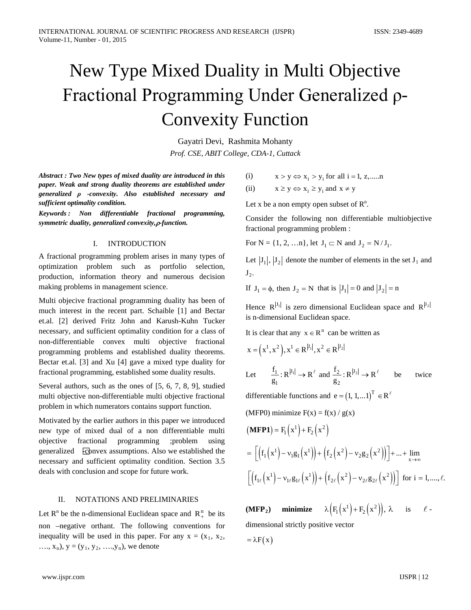# New Type Mixed Duality in Multi Objective Fractional Programming Under Generalized ρ-Convexity Function

Gayatri Devi, Rashmita Mohanty *Prof. CSE, ABIT College, CDA-1, Cuttack*

*Abstract : Two New types of mixed duality are introduced in this paper. Weak and strong duality theorems are established under generalized ρ -convexity. Also established necessary and sufficient optimality condition.*

*Keywords : Non differentiable fractional programming, symmetric duality, generalized convexity,*ρ*-function.*

## I. INTRODUCTION

A fractional programming problem arises in many types of optimization problem such as portfolio selection, production, information theory and numerous decision making problems in management science.

Multi objecive fractional programming duality has been of much interest in the recent part. Schaible [1] and Bectar et.al. [2] derived Fritz John and Karush-Kuhn Tucker necessary, and sufficient optimality condition for a class of non-differentiable convex multi objective fractional programming problems and established duality theorems. Bectar et.al. [3] and Xu [4] gave a mixed type duality for fractional programming, established some duality results.

Several authors, such as the ones of [5, 6, 7, 8, 9], studied multi objective non-differentiable multi objective fractional problem in which numerators contains support function.

Motivated by the earlier authors in this paper we introduced new type of mixed dual of a non differentiable multi objective fractional programming ;problem using generalized Frequency assumptions. Also we established the necessary and sufficient optimality condition. Section 3.5 deals with conclusion and scope for future work.

# II. NOTATIONS AND PRELIMINARIES

Let  $R^n$  be the n-dimensional Euclidean space and  $R^n_+$  be its non –negative orthant. The following conventions for inequality will be used in this paper. For any  $x = (x_1, x_2, ...)$  $..., x_n$ ,  $y = (y_1, y_2, ..., y_n)$ , we denote

(i)  $x > y \Leftrightarrow x_i > y_i$  for all  $i = 1, z, \ldots, n$ 

(ii)  $x \ge y \Leftrightarrow x_i \ge y_i$  and  $x \ne y$ 

Let x be a non empty open subset of  $R^n$ .

Consider the following non differentiable multiobjective fractional programming problem :

For  $N = \{1, 2, ..., n\}$ , let  $J_1 \subset N$  and  $J_2 = N / J_1$ .

Let  $|J_1|,|J_2|$  denote the number of elements in the set  $J_1$  and  $J_2$ .

If  $J_1 = \phi$ , then  $J_2 = N$  that is  $|J_1| = 0$  and  $|J_2| = n$ 

Hence  $R^{|J_1|}$  is zero dimensional Euclidean space and  $R^{|J_2|}$ is n-dimensional Euclidean space.

It is clear that any  $x \in R^n$  can be written as

$$
x = \left(x^1, x^2\right), x^1 \in R^{|J_1|}, x^2 \in R^{|J_2|}
$$

Let 
$$
\frac{f_1}{g_1}: R^{|J_1|} \to R^{\ell}
$$
 and  $\frac{f_2}{g_2}: R^{|J_2|} \to R^{\ell}$  be twice

differentiable functions and  $e = (1, 1, ... 1)^T \in R^e$ 

(MFP0) minimize 
$$
F(x) = f(x) / g(x)
$$

$$
\begin{aligned} \left(\mathbf{MFP1}\right) &= F_1 \left(\mathbf{x}^1\right) + F_2 \left(\mathbf{x}^2\right) \\ &= \left[ \left(f_1 \left(\mathbf{x}^1\right) - \mathbf{v}_1 \mathbf{g}_1 \left(\mathbf{x}^1\right)\right) + \left(f_2 \left(\mathbf{x}^2\right) - \mathbf{v}_2 \mathbf{g}_2 \left(\mathbf{x}^2\right)\right) \right] + \dots + \lim_{x \to \infty} \\ & \left[ \left(f_{1\ell} \left(\mathbf{x}^1\right) - \mathbf{v}_{1\ell} \mathbf{g}_{1\ell} \left(\mathbf{x}^1\right)\right) + \left(f_{2\ell} \left(\mathbf{x}^2\right) - \mathbf{v}_{2\ell} \mathbf{g}_{2\ell} \left(\mathbf{x}^2\right)\right) \right] \text{ for } i = 1, \dots, \ell. \end{aligned}
$$

**(MFP<sub>2</sub>)** minimize  $\lambda \left( F_1(x^1) + F_2(x^2) \right)$ ,  $\lambda$  is  $\ell$  dimensional strictly positive vector

$$
= \lambda F(x)
$$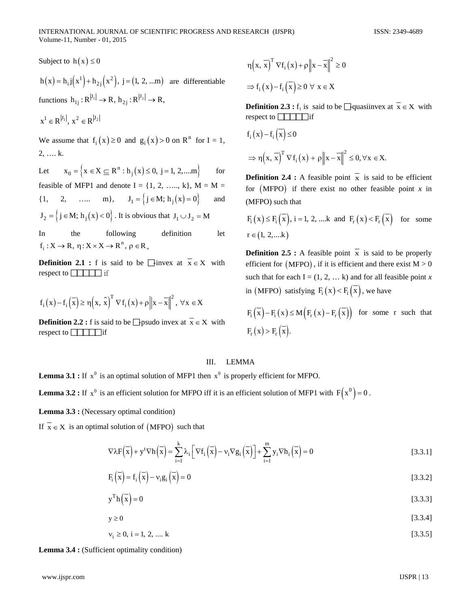Subject to  $h(x) \le 0$ 

 $h(x) = h_{i} j(x^{1}) + h_{2j}(x^{2}), j = (1, 2, ...m)$  are differentiable functions  $h_{1j}:R^{|J_1|} \to R$ ,  $h_{2j}:R^{|J_2|} \to R$ ,

$$
x^1\in R^{|J_1|},\ x^2\in R^{|J_2|}
$$

We assume that  $f_i(x) \ge 0$  and  $g_i(x) > 0$  on  $\mathbb{R}^n$  for  $I = 1$ , 2, …. k.

Let  $x_0 = \left\{ x \in X \subseteq R^n : h_j(x) \le 0, j = 1, 2, \dots m \right\}$  for feasible of MFP1 and denote  $I = \{1, 2, \ldots, k\}, M = M =$  $\{1, 2, \ldots, m\}, \quad J_1 = \{j \in M; h_i(x) = 0\}$  and  $J_2 = \{ j \in M; h_i(x) < 0 \}$ . It is obvious that  $J_1 \cup J_2 = M$ 

In the following definition let

**Definition 2.1 :** f is said to be  $\Box$ invex at  $\bar{x} \in X$  with respect to  $\boxed{\phantom{1}\phantom{1}}$  if

 $f_i: X \to R$ ,  $\eta: X \times X \to R^n$ ,  $\rho \in R_+$ 

$$
f_{i}\left(x\right)-f_{i}\left(\overline{x}\right)\geq \eta\!\left(x,\,\widehat{x}\right)^{T}\nabla f_{i}\left(x\right)+\rho\!\left\|x-\overline{x}\right\|^{2},\;\forall\,x\in X
$$

**Definition 2.2 :** f is said to be  $\Box$  psudo invex at  $\overline{x} \in X$  with respect to  $\boxed{\phantom{1}}$  if

$$
\eta(x, \overline{x})^T \nabla f_i(x) + \rho \|x - \overline{x}\|^2 \ge 0
$$
  
\n
$$
\Rightarrow f_i(x) - f_i(\overline{x}) \ge 0 \ \forall \ x \in X
$$

**Definition 2.3 :** f<sub>i</sub> is said to be  $\Box$  quasiinvex at  $\bar{x} \in X$  with respect to  $\boxed{\phantom{1}}$  if

$$
f_i(x) - f_i(\overline{x}) \le 0
$$
  
\n
$$
\Rightarrow \eta(x, \overline{x})^T \nabla f_i(x) + \rho \|x - \overline{x}\|^2 \le 0, \forall x \in X.
$$

**Definition 2.4 :** A feasible point  $\overline{x}$  is said to be efficient for  $(MFPO)$  if there exist no other feasible point  $x$  in (MFPO) such that

$$
F_i(x) \le F_i(\overline{x}), i = 1, 2, \dots k \text{ and } F_r(x) < F_r(\overline{x}) \text{ for some } r \in (1, 2, \dots k)
$$

**Definition 2.5 :** A feasible point  $\bar{x}$  is said to be properly efficient for  $(MFPO)$ , if it is efficient and there exist  $M > 0$ such that for each  $I = (1, 2, \dots k)$  and for all feasible point *x* in (MFPO) satisfying  $F_i(x) < F_i(\overline{x})$ , we have

$$
F_{i}\left(\overline{x}\right) - F_{i}\left(x\right) \le M\left(F_{r}\left(x\right) - F_{r}\left(\overline{x}\right)\right) \text{ for some } r \text{ such that}
$$

$$
F_{r}\left(x\right) > F_{r}\left(\overline{x}\right).
$$

### III. LEMMA

**Lemma 3.1 :** If  $x^0$  is an optimal solution of MFP1 then  $x^0$  is properly efficient for MFPO.

**Lemma 3.2 :** If  $x^0$  is an efficient solution for MFPO iff it is an efficient solution of MFP1 with  $F(x^0) = 0$ .

Lemma 3.3 : (Necessary optimal condition)

If  $\overline{x} \in X$  is an optimal solution of (MFPO) such that

$$
\nabla \lambda \mathbf{F}(\overline{\mathbf{x}}) + \mathbf{y}^{\mathrm{t}} \nabla \mathbf{h}(\overline{\mathbf{x}}) = \sum_{i=1}^{k} \lambda_{i} \left[ \nabla f_{i}(\overline{\mathbf{x}}) - \mathbf{v}_{i} \nabla g_{i}(\overline{\mathbf{x}}) \right] + \sum_{i=1}^{m} \mathbf{y}_{i} \nabla \mathbf{h}_{i}(\overline{\mathbf{x}}) = 0
$$
\n[3.3.1]

$$
F_i\left(\overline{x}\right) = f_i\left(\overline{x}\right) - v_i g_i\left(\overline{x}\right) = 0
$$
\n
$$
\tag{3.3.2}
$$

$$
y^{\mathrm{T}}h(\overline{x}) = 0 \tag{3.3.3}
$$

 $y \ge 0$  [3.3.4]

 $v_i \ge 0, i = 1, 2, \dots k$  [3.3.5]

**Lemma 3.4 :** (Sufficient optimality condition)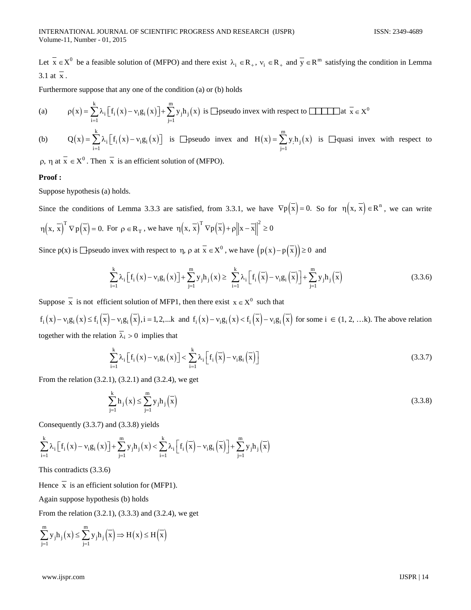Let  $\overline{x} \in X^0$  be a feasible solution of (MFPO) and there exist  $\lambda_i \in R_+$ ,  $v_i \in R_+$  and  $\overline{y} \in R^m$  satisfying the condition in Lemma 3.1 at  $\overline{x}$ .

Furthermore suppose that any one of the condition (a) or (b) holds

(a) 
$$
\rho(x) = \sum_{i=1}^{k} \lambda_i \left[ f_i(x) - v_i g_i(x) \right] + \sum_{j=1}^{m} y_j h_j(x)
$$
 is **1** pseudo invex with respect to **1** at  $\overline{x} \in X^0$ 

(b)  $Q(x) = \sum \lambda_i | f_i(x) - v_i g_i(x)$ k i  $\lfloor \cdot_i \lfloor \cdot \rfloor - v_i \mathcal{B}_i$  $i = 1$  $Q(x) = \sum \lambda_i |f_i(x) - v_i g_i(x)$  $=\sum_{i=1}^{k} \lambda_i [f_i(x) - v_i g_i(x)]$  is  $\Box$ pseudo invex and  $H(x) = \sum_{j=1}^{m} y_j h_j(x)$  $j=1$  $H(x) = \sum y_i h_i(x)$ =  $\sum_{j=1} y_j h_j(x)$  is  $\Box$ quasi invex with respect to

 $ρ, η$  at  $\overline{x} \in X^0$ . Then  $\overline{x}$  is an efficient solution of (MFPO).

### **Proof :**

Suppose hypothesis (a) holds.

Since the conditions of Lemma 3.3.3 are satisfied, from 3.3.1, we have  $\nabla p(\overline{x}) = 0$ . So for  $\eta(x, \overline{x}) \in \mathbb{R}^n$ , we can write  $\eta(x, \overline{x})^T \nabla p(\overline{x}) = 0$ . For  $\rho \in \mathbb{R}_{T}$ , we have  $\eta(x, \overline{x})^T \nabla p(\overline{x}) + \rho \|x - \overline{x}\|^2 \ge 0$ 

Since  $p(x)$  is  $\Box p$  seudo invex with respect to  $\eta$ ,  $\rho$  at  $\overline{x} \in X^0$ , we have  $\left(p(x) - p(\overline{x})\right) \ge 0$  and

$$
\sum_{i=1}^{k} \lambda_i \left[ f_i(x) - v_i g_i(x) \right] + \sum_{j=1}^{m} y_j h_j(x) \ge \sum_{i=1}^{k} \lambda_i \left[ f_i\left(\overline{x}\right) - v_i g_i\left(\overline{x}\right) \right] + \sum_{j=1}^{m} y_j h_j\left(\overline{x}\right) \tag{3.3.6}
$$

Suppose  $\overline{x}$  is not efficient solution of MFP1, then there exist  $x \in X^0$  such that

 $f_i(x) - v_i g_i(x) \le f_i(\overline{x}) - v_i g_i(\overline{x}), i = 1, 2,...k$  and  $f_i(x) - v_i g_i(x) < f_i(\overline{x}) - v_i g_i(\overline{x})$  for some  $i \in (1, 2, ...k)$ . The above relation together with the relation  $\overline{\lambda}_i > 0$  implies that

$$
\sum_{i=1}^{k} \lambda_{i} \left[ f_{i}\left(x\right) - \nu_{i} g_{i}\left(x\right) \right] < \sum_{i=1}^{k} \lambda_{i} \left[ f_{i}\left(\overline{x}\right) - \nu_{i} g_{i}\left(\overline{x}\right) \right] \tag{3.3.7}
$$

From the relation (3.2.1), (3.2.1) and (3.2.4), we get

$$
\sum_{j=1}^{k} h_j(x) \le \sum_{j=1}^{m} y_j h_j(x) \tag{3.3.8}
$$

Consequently (3.3.7) and (3.3.8) yields

$$
\sum_{i=1}^k \lambda_i \Big[ \boldsymbol{f}_i \left( \boldsymbol{x} \right) - \boldsymbol{v}_i \boldsymbol{g}_i \left( \boldsymbol{x} \right) \Big] + \sum_{j=1}^m \boldsymbol{y}_j \boldsymbol{h}_j \left( \boldsymbol{x} \right) < \sum_{i=1}^k \lambda_i \Big[ \boldsymbol{f}_i \left( \overline{\boldsymbol{x}} \right) - \boldsymbol{v}_i \boldsymbol{g}_i \left( \overline{\boldsymbol{x}} \right) \Big] + \sum_{j=1}^m \boldsymbol{y}_j \boldsymbol{h}_j \left( \overline{\boldsymbol{x}} \right)
$$

This contradicts (3.3.6)

Hence  $\bar{x}$  is an efficient solution for (MFP1).

Again suppose hypothesis (b) holds

From the relation (3.2.1), (3.3.3) and (3.2.4), we get

$$
\sum_{j=1}^{m} y_j h_j(x) \le \sum_{j=1}^{m} y_j h_j(\overline{x}) \Rightarrow H(x) \le H(\overline{x})
$$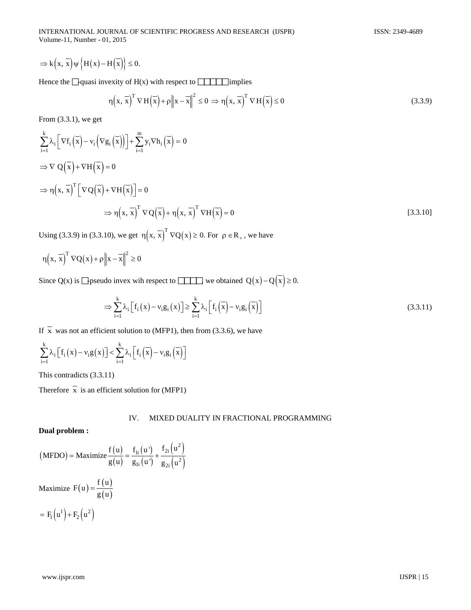INTERNATIONAL JOURNAL OF SCIENTIFIC PROGRESS AND RESEARCH (IJSPR) ISSN: 2349-4689 Volume-11, Number - 01, 2015

$$
\Rightarrow k\Big(x,\,\overline{x}\Big)\psi\,\Big\{H\big(x\big)-H\Big(\overline{x}\Big)\Big\}\leq 0.
$$

Hence the  $\Box$  quasi invexity of H(x) with respect to  $\Box$  implies

$$
\eta(x, \overline{x})^{\mathrm{T}} \nabla H(\overline{x}) + \rho \|x - \overline{x}\|^2 \le 0 \implies \eta(x, \overline{x})^{\mathrm{T}} \nabla H(\overline{x}) \le 0
$$
\n(3.3.9)

From (3.3.1), we get

$$
\sum_{i=1}^{k} \lambda_{i} \left[ \nabla f_{i} \left( \overline{x} \right) - v_{i} \left( \nabla g_{i} \left( \overline{x} \right) \right) \right] + \sum_{i=1}^{m} y_{i} \nabla h_{i} \left( \overline{x} \right) = 0
$$
\n
$$
\Rightarrow \nabla Q \left( \overline{x} \right) + \nabla H \left( \overline{x} \right) = 0
$$
\n
$$
\Rightarrow \eta \left( x, \overline{x} \right)^{T} \left[ \nabla Q \left( \overline{x} \right) + \nabla H \left( \overline{x} \right) \right] = 0
$$
\n
$$
\Rightarrow \eta \left( x, \overline{x} \right)^{T} \nabla Q \left( \overline{x} \right) + \eta \left( x, \overline{x} \right)^{T} \nabla H \left( \overline{x} \right) = 0
$$
\n
$$
(3.3.10)
$$

Using (3.3.9) in (3.3.10), we get  $\eta(x, \overline{x})^T \nabla Q(x) \ge 0$ . For  $\rho \in R_+$ , we have

$$
\eta\Big(x,\,\overline{x}\Big)^T\,\nabla Q\big(x\big)+\rho\Big\|x-\overline{x}\Big\|^2\geq0
$$

Since Q(x) is  $\Box$  pseudo invex wih respect to  $\Box$  we obtained Q(x) – Q $(\overline{x}) \ge 0$ .

$$
\Rightarrow \sum_{i=1}^{k} \lambda_i \left[ f_i(x) - v_i g_i(x) \right] \ge \sum_{i=1}^{k} \lambda_i \left[ f_i\left(\overline{x}\right) - v_i g_i\left(\overline{x}\right) \right] \tag{3.3.11}
$$

If  $\overline{x}$  was not an efficient solution to (MFP1), then from (3.3.6), we have

$$
\sum_{i=1}^{k} \lambda_i \left[ f_i(x) - \nu_i g(x) \right] < \sum_{i=1}^{k} \lambda_i \left[ f_i\left(\overline{x}\right) - \nu_i g_i\left(\overline{x}\right) \right]
$$

This contradicts (3.3.11)

Therefore  $\overline{x}$  is an efficient solution for (MFP1)

## IV. MIXED DUALITY IN FRACTIONAL PROGRAMMING

# **Dual problem :**

$$
\begin{aligned} \n\text{(MFDO)} &= \text{Maximize} \frac{f(u)}{g(u)} = \frac{f_{1i}(u')}{g_{1i}(u')} + \frac{f_{2i}(u^2)}{g_{2i}(u^2)}\\ \n\text{Maximize } F(u) &= \frac{f(u)}{g(u)}\\ \n&= F_1\left(u^1\right) + F_2\left(u^2\right) \n\end{aligned}
$$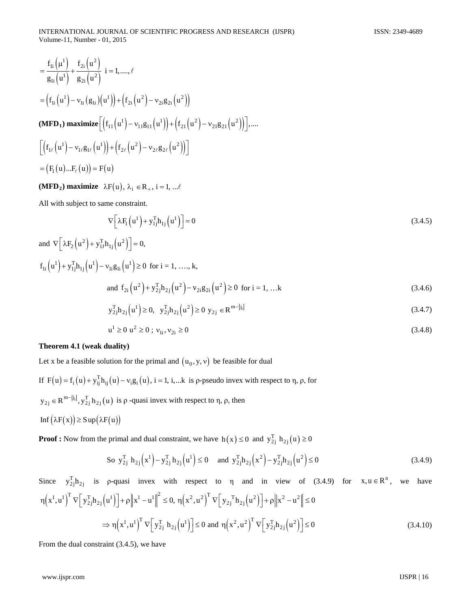$$
= \frac{f_{1i}(\mu^{1})}{g_{1i}(\mu^{1})} + \frac{f_{2i}(\mu^{2})}{g_{2i}(\mu^{2})} i = 1, ..., \ell
$$
  
\n
$$
= (f_{1i}(\mu^{1}) - v_{1i}(g_{1i})(\mu^{1})) + (f_{2i}(\mu^{2}) - v_{2i}g_{2i}(\mu^{2}))
$$
  
\n(MFD<sub>1</sub>) maximize  $[(f_{11}(\mu^{1}) - v_{11}g_{11}(\mu^{1})) + (f_{21}(\mu^{2}) - v_{21}g_{21}(\mu^{2}))], ...$   
\n
$$
[(f_{1\ell}(\mu^{1}) - v_{1\ell}g_{1\ell}(\mu^{1})) + (f_{2\ell}(\mu^{2}) - v_{2\ell}g_{2\ell}(\mu^{2}))]
$$
  
\n
$$
= (F_{1}(\mu) ... F_{\ell}(\mu)) = F(\mu)
$$

**(MFD<sub>2</sub>) maximize**  $\lambda F(u)$ ,  $\lambda_i \in R_+$ , i = 1, ...  $\ell$ 

All with subject to same constraint.

$$
\nabla \left[ \lambda F_1 \left( \mathbf{u}^1 \right) + \mathbf{y}_{1j}^{\mathrm{T}} \mathbf{h}_{1j} \left( \mathbf{u}^1 \right) \right] = 0 \tag{3.4.5}
$$

and 
$$
\nabla \left[ \lambda F_2 (u^2) + y_{1J}^T h_{1j} (u^2) \right] = 0,
$$
  
\n $f_{1i} (u^1) + y_{1j}^T h_{1j} (u^1) - v_{1i} g_{1i} (u^1) \ge 0 \text{ for } i = 1, ..., k,$   
\nand  $f_{2i} (u^2) + y_{2j}^T h_{2j} (u^2) - v_{2i} g_{2i} (u^2) \ge 0 \text{ for } i = 1, ...k$   
\n $y_{2j}^T h_{2j} (u^1) \ge 0, y_{2j}^T h_{2j} (u^2) \ge 0 y_{2j} \in \mathbb{R}^{m-|j_1|}$  (3.4.7)

$$
y_{2j}h_{2j}(u^{\prime}) \ge 0, \quad y_{2j}h_{2j}(u^{\prime}) \ge 0 \quad y_{2j} \in \mathbb{R}^{m-|\mathcal{M}|}
$$
\n(3.4.7)

$$
u^{1} \ge 0 \ u^{2} \ge 0 \ ; \ v_{1i}, v_{2i} \ge 0 \tag{3.4.8}
$$

## **Theorem 4.1 (weak duality)**

Let x be a feasible solution for the primal and  $(u_0, y, v)$  be feasible for dual

If  $F(u) = f_i(u) + y_{ij}^T h_{ij}(u) - v_i g_i(u)$ , i = 1, i,...k is p-pseudo invex with respect to  $\eta$ ,  $\rho$ , for  $(y_{2j} \in R^{m-|j_1|}, y_{2j}^T h_{2j}(u)$  is  $\rho$  -quasi invex with respect to  $\eta$ ,  $\rho$ , then Inf  $(λF(x)) ≥ Sup(λF(u))$ 

**Proof :** Now from the primal and dual constraint, we have  $h(x) \le 0$  and  $y_{2j}^T h_{2j}(u) \ge 0$ 

So 
$$
y_{2j}^T h_{2j}(x^1) - y_{2j}^T h_{2j}(u^1) \le 0
$$
 and  $y_{2j}^T h_{2j}(x^2) - y_{2j}^T h_{2j}(u^2) \le 0$  (3.4.9)

Since  $y_{2j}^T h_{2j}$  is p-quasi invex with respect to  $\eta$  and in view of (3.4.9) for  $x, u \in \mathbb{R}^n$ , we have  $\eta(x^1, u^1)^T \nabla \left[ y_{2j}^T h_{2j}(u^1) \right] + \rho \left\| x^1 - u^1 \right\|^2 \leq 0, \; \eta(x^2, u^2)^T \nabla \left[ y_{2j}^T h_{2j}(u^2) \right] + \rho \left\| x^2 - u^2 \right\| \leq 0$  $\Rightarrow \eta(x^1, u^1)^T \nabla \left[ y_{2j}^T h_{2j} (u^1) \right] \le 0$  and  $\eta(x^2, u^2)^T \nabla \left[ y_{2j}^T h_{2j} (u^2) \right] \le 0$  (3.4.10)

From the dual constraint (3.4.5), we have

www.ijspr.com IJSPR | 16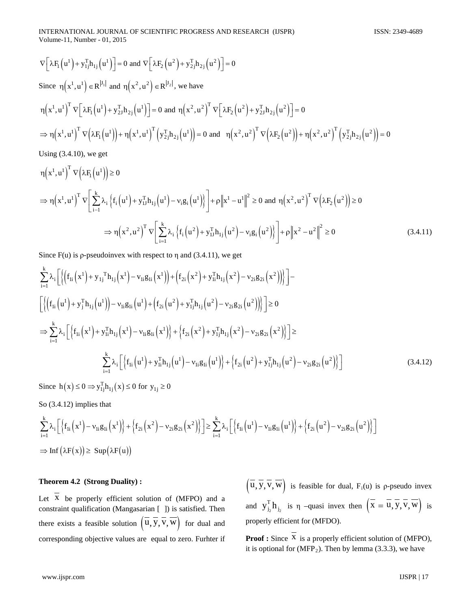$$
\nabla \left[ \lambda F_1(u^1) + y_{1j}^T h_{1j}(u^1) \right] = 0 \text{ and } \nabla \left[ \lambda F_2(u^2) + y_{2j}^T h_{2j}(u^2) \right] = 0
$$
\n
$$
\text{Since } \eta(x^1, u^1) \in \mathbb{R}^{|J_1|} \text{ and } \eta(x^2, u^2) \in \mathbb{R}^{|J_2|}, \text{ we have}
$$
\n
$$
\eta(x^1, u^1)^T \nabla \left[ \lambda F_1(u^1) + y_{2J}^T h_{2j}(u^1) \right] = 0 \text{ and } \eta(x^2, u^2)^T \nabla \left[ \lambda F_2(u^2) + y_{2J}^T h_{2j}(u^2) \right] = 0
$$
\n
$$
\Rightarrow \eta(x^1, u^1)^T \nabla \left( \lambda F_1(u^1) \right) + \eta(x^1, u^1)^T \left( y_{2j}^T h_{2j}(u^1) \right) = 0 \text{ and } \eta(x^2, u^2)^T \nabla \left( \lambda F_2(u^2) \right) + \eta(x^2, u^2)^T \left( y_{2j}^T h_{2j}(u^2) \right) = 0
$$
\n
$$
\text{Using (3.4.10), we get}
$$

$$
\eta(x^{1}, u^{1})^{T} \nabla \left(\lambda F_{1}(u^{1})\right) \ge 0
$$
\n
$$
\Rightarrow \eta(x^{1}, u^{1})^{T} \nabla \left[\sum_{i=1}^{k} \lambda_{i} \left\{f_{i}(u^{1}) + y_{1J}^{T} h_{1j}(u^{1}) - \nu_{i} g_{i}(u^{1})\right\}\right] + \rho \|x^{1} - u^{1}\|^{2} \ge 0 \text{ and } \eta(x^{2}, u^{2})^{T} \nabla \left(\lambda F_{2}(u^{2})\right) \ge 0
$$
\n
$$
\Rightarrow \eta(x^{2}, u^{2})^{T} \nabla \left[\sum_{i=1}^{k} \lambda_{i} \left\{f_{i}(u^{2}) + y_{1J}^{T} h_{1j}(u^{2}) - \nu_{i} g_{i}(u^{2})\right\}\right] + \rho \|x^{2} - u^{2}\|^{2} \ge 0
$$
\n(3.4.11)

Since  $F(u)$  is *ρ*-pseudoinvex with respect to  $\eta$  and (3.4.11), we get

$$
\sum_{i=1}^{k} \lambda_{i} \left[ \left\{ \left( f_{1i} \left( x^{1} \right) + y_{1j}^{T} h_{1j} \left( x^{1} \right) - v_{1i} g_{1i} \left( x^{1} \right) \right) + \left( f_{2i} \left( x^{2} \right) + y_{1i}^{T} h_{1j} \left( x^{2} \right) - v_{2i} g_{2i} \left( x^{2} \right) \right) \right] \right] - \left[ \left\{ \left( f_{1i} \left( u^{1} \right) + y_{j}^{T} h_{1j} \left( u^{1} \right) \right) - v_{1i} g_{1i} \left( u^{1} \right) + \left( f_{2i} \left( u^{2} \right) + y_{1j}^{T} h_{1j} \left( u^{2} \right) - v_{2i} g_{2i} \left( u^{2} \right) \right) \right\} \right] \ge 0
$$
\n
$$
\Rightarrow \sum_{i=1}^{k} \lambda_{i} \left[ \left\{ f_{1i} \left( x^{1} \right) + y_{1i}^{T} h_{1j} \left( x^{1} \right) - v_{1i} g_{1i} \left( x^{1} \right) \right\} + \left\{ f_{2i} \left( x^{2} \right) + y_{1j}^{T} h_{1j} \left( x^{2} \right) - v_{2i} g_{2i} \left( x^{2} \right) \right\} \right] \ge
$$
\n
$$
\sum_{i=1}^{k} \lambda_{i} \left[ \left\{ f_{1i} \left( u^{1} \right) + y_{1i}^{T} h_{1j} \left( u^{1} \right) - v_{1i} g_{1i} \left( u^{1} \right) \right\} + \left\{ f_{2i} \left( u^{2} \right) + y_{1j}^{T} h_{1j} \left( u^{2} \right) - v_{2i} g_{2i} \left( u^{2} \right) \right\} \right] \right]
$$
\n(3.4.12)

Since  $h(x) \le 0 \Rightarrow y_{1j}^{\text{T}} h_{1j}(x) \le 0$  for  $y_{1j} \ge 0$ 

So (3.4.12) implies that

$$
\begin{aligned} &\sum_{i=1}^k \lambda_i \Big[ \Big\{ f_{1i}\Big(x^1 \Big) - \nu_{1i} g_{1i}\Big(x^1 \Big) \Big\} + \Big\{ f_{2i}\Big(x^2 \Big) - \nu_{2i} g_{2i}\Big(x^2 \Big) \Big\} \Big] \geq \sum_{i=1}^k \lambda_i \Big[ \Big\{ f_{1i}\Big(u^1 \Big) - \nu_{1i} g_{1i}\Big(u^1 \Big) \Big\} + \Big\{ f_{2i}\Big(u^2 \Big) - \nu_{2i} g_{2i}\Big(u^2 \Big) \Big\} \Big] \\ &\Rightarrow \mathrm{Inf}\big(\lambda F(x)\big) \geq \ \mathrm{Sup}\big(\lambda F(u)\big) \end{aligned}
$$

# **Theorem 4.2 (Strong Duality) :**

Let  $\overline{X}$  be properly efficient solution of (MFPO) and a constraint qualification (Mangasarian [ ]) is satisfied. Then there exists a feasible solution  $(\overline{u}, \overline{y}, \overline{v}, \overline{w})$  for dual and corresponding objective values are equal to zero. Furhter if  $(\overline{u}, \overline{y}, \overline{v}, \overline{w})$  is feasible for dual, F<sub>i</sub>(u) is p-pseudo invex and  $y_{j_2}^T h_{j_2}$  is  $\eta$  –quasi invex then  $(X = u, y, v, w)$  is properly efficient for (MFDO).

**Proof :** Since  $\overline{X}$  is a properly efficient solution of (MFPO), it is optional for  $(MFP<sub>2</sub>)$ . Then by lemma (3.3.3), we have